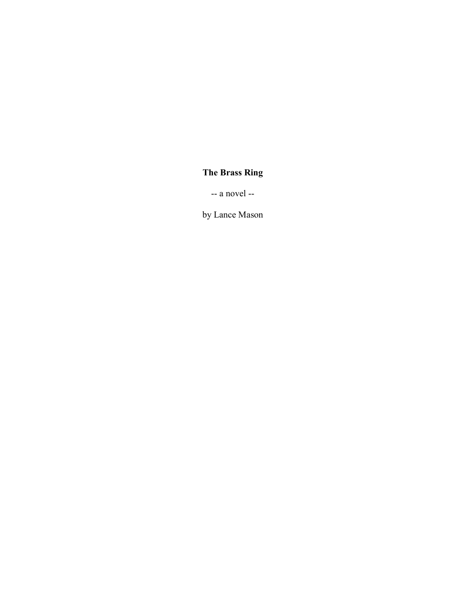# The Brass Ring

-- a novel --

by Lance Mason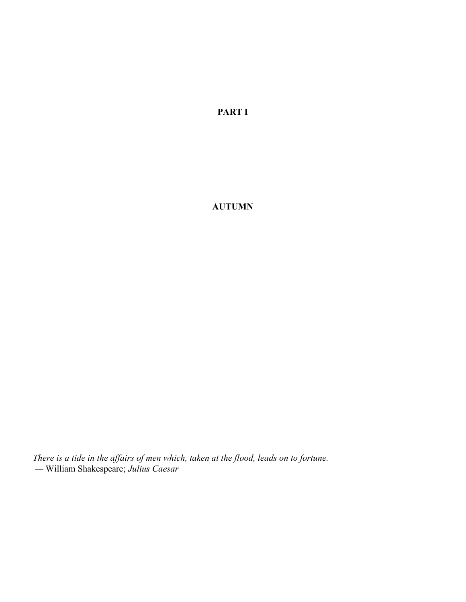PART I

AUTUMN

There is a tide in the affairs of men which, taken at the flood, leads on to fortune. — William Shakespeare; Julius Caesar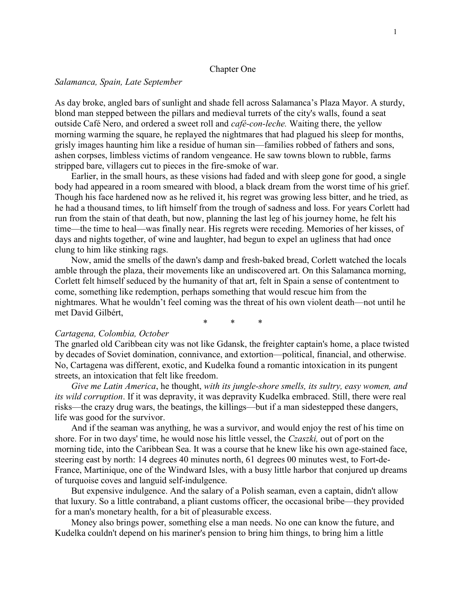## Chapter One

#### Salamanca, Spain, Late September

As day broke, angled bars of sunlight and shade fell across Salamanca's Plaza Mayor. A sturdy, blond man stepped between the pillars and medieval turrets of the city's walls, found a seat outside Café Nero, and ordered a sweet roll and café-con-leche. Waiting there, the yellow morning warming the square, he replayed the nightmares that had plagued his sleep for months, grisly images haunting him like a residue of human sin—families robbed of fathers and sons, ashen corpses, limbless victims of random vengeance. He saw towns blown to rubble, farms stripped bare, villagers cut to pieces in the fire-smoke of war.

Earlier, in the small hours, as these visions had faded and with sleep gone for good, a single body had appeared in a room smeared with blood, a black dream from the worst time of his grief. Though his face hardened now as he relived it, his regret was growing less bitter, and he tried, as he had a thousand times, to lift himself from the trough of sadness and loss. For years Corlett had run from the stain of that death, but now, planning the last leg of his journey home, he felt his time—the time to heal—was finally near. His regrets were receding. Memories of her kisses, of days and nights together, of wine and laughter, had begun to expel an ugliness that had once clung to him like stinking rags.

Now, amid the smells of the dawn's damp and fresh-baked bread, Corlett watched the locals amble through the plaza, their movements like an undiscovered art. On this Salamanca morning, Corlett felt himself seduced by the humanity of that art, felt in Spain a sense of contentment to come, something like redemption, perhaps something that would rescue him from the nightmares. What he wouldn't feel coming was the threat of his own violent death—not until he met David Gilbért,

\* \* \*

#### Cartagena, Colombia, October

The gnarled old Caribbean city was not like Gdansk, the freighter captain's home, a place twisted by decades of Soviet domination, connivance, and extortion—political, financial, and otherwise. No, Cartagena was different, exotic, and Kudelka found a romantic intoxication in its pungent streets, an intoxication that felt like freedom.

Give me Latin America, he thought, with its jungle-shore smells, its sultry, easy women, and its wild corruption. If it was depravity, it was depravity Kudelka embraced. Still, there were real risks—the crazy drug wars, the beatings, the killings—but if a man sidestepped these dangers, life was good for the survivor.

And if the seaman was anything, he was a survivor, and would enjoy the rest of his time on shore. For in two days' time, he would nose his little vessel, the Czaszki, out of port on the morning tide, into the Caribbean Sea. It was a course that he knew like his own age-stained face, steering east by north: 14 degrees 40 minutes north, 61 degrees 00 minutes west, to Fort-de-France, Martinique, one of the Windward Isles, with a busy little harbor that conjured up dreams of turquoise coves and languid self-indulgence.

But expensive indulgence. And the salary of a Polish seaman, even a captain, didn't allow that luxury. So a little contraband, a pliant customs officer, the occasional bribe—they provided for a man's monetary health, for a bit of pleasurable excess.

Money also brings power, something else a man needs. No one can know the future, and Kudelka couldn't depend on his mariner's pension to bring him things, to bring him a little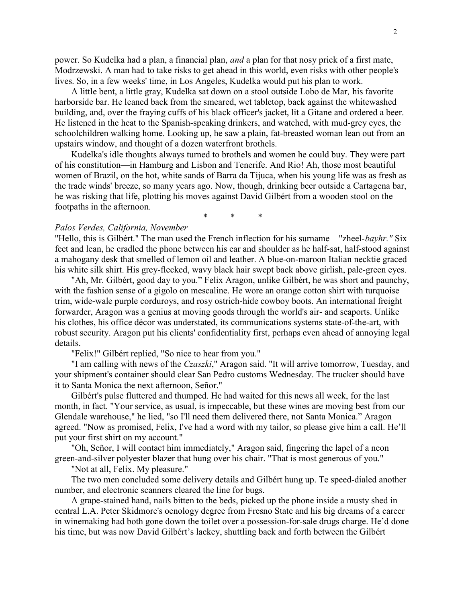power. So Kudelka had a plan, a financial plan, and a plan for that nosy prick of a first mate, Modrzewski. A man had to take risks to get ahead in this world, even risks with other people's lives. So, in a few weeks' time, in Los Angeles, Kudelka would put his plan to work.

A little bent, a little gray, Kudelka sat down on a stool outside Lobo de Mar, his favorite harborside bar. He leaned back from the smeared, wet tabletop, back against the whitewashed building, and, over the fraying cuffs of his black officer's jacket, lit a Gitane and ordered a beer. He listened in the heat to the Spanish-speaking drinkers, and watched, with mud-grey eyes, the schoolchildren walking home. Looking up, he saw a plain, fat-breasted woman lean out from an upstairs window, and thought of a dozen waterfront brothels.

Kudelka's idle thoughts always turned to brothels and women he could buy. They were part of his constitution—in Hamburg and Lisbon and Tenerife. And Rio! Ah, those most beautiful women of Brazil, on the hot, white sands of Barra da Tijuca, when his young life was as fresh as the trade winds' breeze, so many years ago. Now, though, drinking beer outside a Cartagena bar, he was risking that life, plotting his moves against David Gilbért from a wooden stool on the footpaths in the afternoon.

\* \* \*

# Palos Verdes, California, November

"Hello, this is Gilbért." The man used the French inflection for his surname—"zheel-bayhr." Six feet and lean, he cradled the phone between his ear and shoulder as he half-sat, half-stood against a mahogany desk that smelled of lemon oil and leather. A blue-on-maroon Italian necktie graced his white silk shirt. His grey-flecked, wavy black hair swept back above girlish, pale-green eyes.

"Ah, Mr. Gilbért, good day to you." Felix Aragon, unlike Gilbért, he was short and paunchy, with the fashion sense of a gigolo on mescaline. He wore an orange cotton shirt with turquoise trim, wide-wale purple corduroys, and rosy ostrich-hide cowboy boots. An international freight forwarder, Aragon was a genius at moving goods through the world's air- and seaports. Unlike his clothes, his office décor was understated, its communications systems state-of-the-art, with robust security. Aragon put his clients' confidentiality first, perhaps even ahead of annoying legal details.

"Felix!" Gilbért replied, "So nice to hear from you."

"I am calling with news of the Czaszki," Aragon said. "It will arrive tomorrow, Tuesday, and your shipment's container should clear San Pedro customs Wednesday. The trucker should have it to Santa Monica the next afternoon, Señor."

Gilbért's pulse fluttered and thumped. He had waited for this news all week, for the last month, in fact. "Your service, as usual, is impeccable, but these wines are moving best from our Glendale warehouse," he lied, "so I'll need them delivered there, not Santa Monica." Aragon agreed. "Now as promised, Felix, I've had a word with my tailor, so please give him a call. He'll put your first shirt on my account."

"Oh, Señor, I will contact him immediately," Aragon said, fingering the lapel of a neon green-and-silver polyester blazer that hung over his chair. "That is most generous of you."

"Not at all, Felix. My pleasure."

The two men concluded some delivery details and Gilbért hung up. Te speed-dialed another number, and electronic scanners cleared the line for bugs.

A grape-stained hand, nails bitten to the beds, picked up the phone inside a musty shed in central L.A. Peter Skidmore's oenology degree from Fresno State and his big dreams of a career in winemaking had both gone down the toilet over a possession-for-sale drugs charge. He'd done his time, but was now David Gilbért's lackey, shuttling back and forth between the Gilbért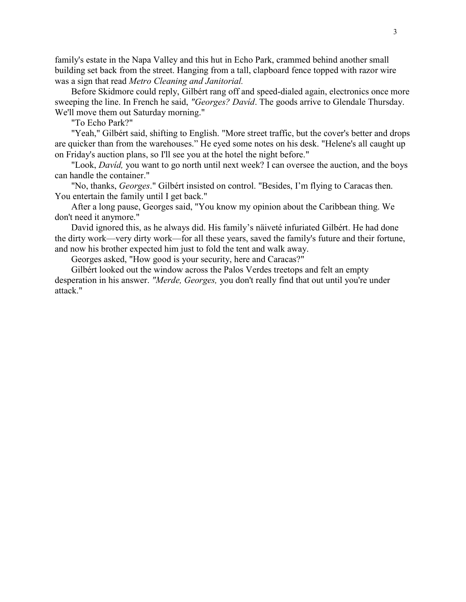family's estate in the Napa Valley and this hut in Echo Park, crammed behind another small building set back from the street. Hanging from a tall, clapboard fence topped with razor wire was a sign that read Metro Cleaning and Janitorial.

Before Skidmore could reply, Gilbért rang off and speed-dialed again, electronics once more sweeping the line. In French he said, "Georges? Davíd. The goods arrive to Glendale Thursday. We'll move them out Saturday morning."

"To Echo Park?"

"Yeah," Gilbért said, shifting to English. "More street traffic, but the cover's better and drops are quicker than from the warehouses." He eyed some notes on his desk. "Helene's all caught up on Friday's auction plans, so I'll see you at the hotel the night before."

"Look, David, you want to go north until next week? I can oversee the auction, and the boys can handle the container."

"No, thanks, Georges." Gilbért insisted on control. "Besides, I'm flying to Caracas then. You entertain the family until I get back."

After a long pause, Georges said, "You know my opinion about the Caribbean thing. We don't need it anymore."

David ignored this, as he always did. His family's näiveté infuriated Gilbért. He had done the dirty work—very dirty work—for all these years, saved the family's future and their fortune, and now his brother expected him just to fold the tent and walk away.

Georges asked, "How good is your security, here and Caracas?"

Gilbért looked out the window across the Palos Verdes treetops and felt an empty desperation in his answer. "Merde, Georges, you don't really find that out until you're under attack."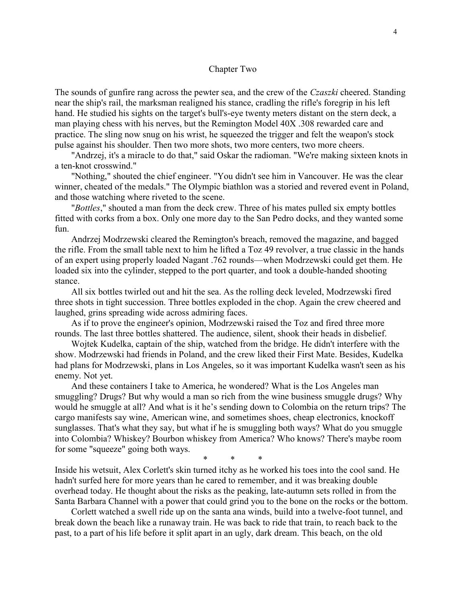## Chapter Two

The sounds of gunfire rang across the pewter sea, and the crew of the Czaszki cheered. Standing near the ship's rail, the marksman realigned his stance, cradling the rifle's foregrip in his left hand. He studied his sights on the target's bull's-eye twenty meters distant on the stern deck, a man playing chess with his nerves, but the Remington Model 40X .308 rewarded care and practice. The sling now snug on his wrist, he squeezed the trigger and felt the weapon's stock pulse against his shoulder. Then two more shots, two more centers, two more cheers.

"Andrzej, it's a miracle to do that," said Oskar the radioman. "We're making sixteen knots in a ten-knot crosswind."

"Nothing," shouted the chief engineer. "You didn't see him in Vancouver. He was the clear winner, cheated of the medals." The Olympic biathlon was a storied and revered event in Poland, and those watching where riveted to the scene.

"Bottles," shouted a man from the deck crew. Three of his mates pulled six empty bottles fitted with corks from a box. Only one more day to the San Pedro docks, and they wanted some fun.

Andrzej Modrzewski cleared the Remington's breach, removed the magazine, and bagged the rifle. From the small table next to him he lifted a Toz 49 revolver, a true classic in the hands of an expert using properly loaded Nagant .762 rounds—when Modrzewski could get them. He loaded six into the cylinder, stepped to the port quarter, and took a double-handed shooting stance.

All six bottles twirled out and hit the sea. As the rolling deck leveled, Modrzewski fired three shots in tight succession. Three bottles exploded in the chop. Again the crew cheered and laughed, grins spreading wide across admiring faces.

As if to prove the engineer's opinion, Modrzewski raised the Toz and fired three more rounds. The last three bottles shattered. The audience, silent, shook their heads in disbelief.

Wojtek Kudelka, captain of the ship, watched from the bridge. He didn't interfere with the show. Modrzewski had friends in Poland, and the crew liked their First Mate. Besides, Kudelka had plans for Modrzewski, plans in Los Angeles, so it was important Kudelka wasn't seen as his enemy. Not yet.

And these containers I take to America, he wondered? What is the Los Angeles man smuggling? Drugs? But why would a man so rich from the wine business smuggle drugs? Why would he smuggle at all? And what is it he's sending down to Colombia on the return trips? The cargo manifests say wine, American wine, and sometimes shoes, cheap electronics, knockoff sunglasses. That's what they say, but what if he is smuggling both ways? What do you smuggle into Colombia? Whiskey? Bourbon whiskey from America? Who knows? There's maybe room for some "squeeze" going both ways.

\* \* \*

Inside his wetsuit, Alex Corlett's skin turned itchy as he worked his toes into the cool sand. He hadn't surfed here for more years than he cared to remember, and it was breaking double overhead today. He thought about the risks as the peaking, late-autumn sets rolled in from the Santa Barbara Channel with a power that could grind you to the bone on the rocks or the bottom.

Corlett watched a swell ride up on the santa ana winds, build into a twelve-foot tunnel, and break down the beach like a runaway train. He was back to ride that train, to reach back to the past, to a part of his life before it split apart in an ugly, dark dream. This beach, on the old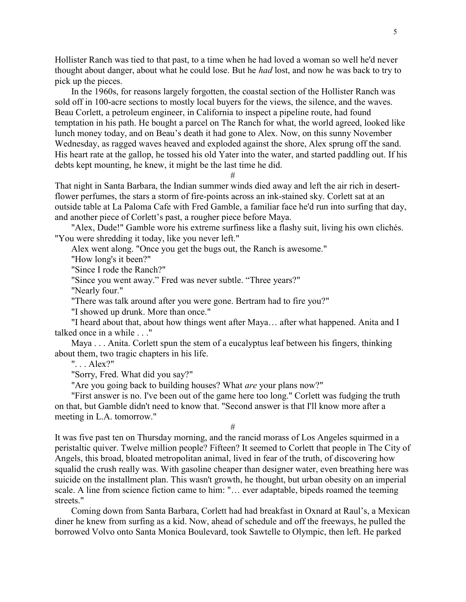Hollister Ranch was tied to that past, to a time when he had loved a woman so well he'd never thought about danger, about what he could lose. But he had lost, and now he was back to try to pick up the pieces.

In the 1960s, for reasons largely forgotten, the coastal section of the Hollister Ranch was sold off in 100-acre sections to mostly local buyers for the views, the silence, and the waves. Beau Corlett, a petroleum engineer, in California to inspect a pipeline route, had found temptation in his path. He bought a parcel on The Ranch for what, the world agreed, looked like lunch money today, and on Beau's death it had gone to Alex. Now, on this sunny November Wednesday, as ragged waves heaved and exploded against the shore, Alex sprung off the sand. His heart rate at the gallop, he tossed his old Yater into the water, and started paddling out. If his debts kept mounting, he knew, it might be the last time he did.

#

That night in Santa Barbara, the Indian summer winds died away and left the air rich in desertflower perfumes, the stars a storm of fire-points across an ink-stained sky. Corlett sat at an outside table at La Paloma Cafe with Fred Gamble, a familiar face he'd run into surfing that day, and another piece of Corlett's past, a rougher piece before Maya.

"Alex, Dude!" Gamble wore his extreme surfiness like a flashy suit, living his own clichés. "You were shredding it today, like you never left."

Alex went along. "Once you get the bugs out, the Ranch is awesome."

"How long's it been?"

"Since I rode the Ranch?"

"Since you went away." Fred was never subtle. "Three years?"

"Nearly four."

"There was talk around after you were gone. Bertram had to fire you?"

"I showed up drunk. More than once."

"I heard about that, about how things went after Maya… after what happened. Anita and I talked once in a while . . ."

Maya . . . Anita. Corlett spun the stem of a eucalyptus leaf between his fingers, thinking about them, two tragic chapters in his life.

". . . Alex?"

"Sorry, Fred. What did you say?"

"Are you going back to building houses? What *are* your plans now?"

"First answer is no. I've been out of the game here too long." Corlett was fudging the truth on that, but Gamble didn't need to know that. "Second answer is that I'll know more after a meeting in L.A. tomorrow."

#

It was five past ten on Thursday morning, and the rancid morass of Los Angeles squirmed in a peristaltic quiver. Twelve million people? Fifteen? It seemed to Corlett that people in The City of Angels, this broad, bloated metropolitan animal, lived in fear of the truth, of discovering how squalid the crush really was. With gasoline cheaper than designer water, even breathing here was suicide on the installment plan. This wasn't growth, he thought, but urban obesity on an imperial scale. A line from science fiction came to him: "… ever adaptable, bipeds roamed the teeming streets."

Coming down from Santa Barbara, Corlett had had breakfast in Oxnard at Raul's, a Mexican diner he knew from surfing as a kid. Now, ahead of schedule and off the freeways, he pulled the borrowed Volvo onto Santa Monica Boulevard, took Sawtelle to Olympic, then left. He parked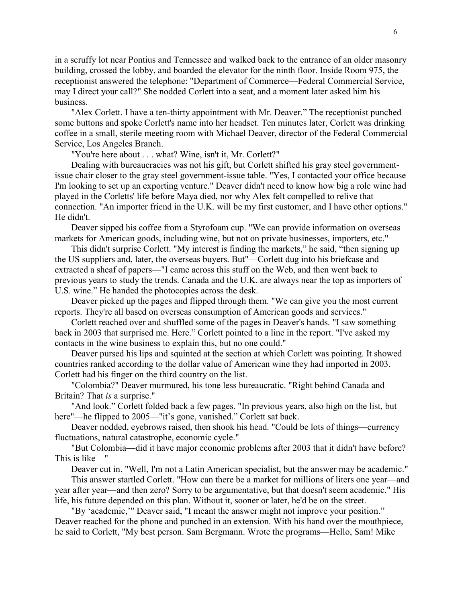in a scruffy lot near Pontius and Tennessee and walked back to the entrance of an older masonry building, crossed the lobby, and boarded the elevator for the ninth floor. Inside Room 975, the receptionist answered the telephone: "Department of Commerce—Federal Commercial Service, may I direct your call?" She nodded Corlett into a seat, and a moment later asked him his business.

"Alex Corlett. I have a ten-thirty appointment with Mr. Deaver." The receptionist punched some buttons and spoke Corlett's name into her headset. Ten minutes later, Corlett was drinking coffee in a small, sterile meeting room with Michael Deaver, director of the Federal Commercial Service, Los Angeles Branch.

"You're here about . . . what? Wine, isn't it, Mr. Corlett?"

Dealing with bureaucracies was not his gift, but Corlett shifted his gray steel governmentissue chair closer to the gray steel government-issue table. "Yes, I contacted your office because I'm looking to set up an exporting venture." Deaver didn't need to know how big a role wine had played in the Corletts' life before Maya died, nor why Alex felt compelled to relive that connection. "An importer friend in the U.K. will be my first customer, and I have other options." He didn't.

Deaver sipped his coffee from a Styrofoam cup. "We can provide information on overseas markets for American goods, including wine, but not on private businesses, importers, etc."

This didn't surprise Corlett. "My interest is finding the markets," he said, "then signing up the US suppliers and, later, the overseas buyers. But"—Corlett dug into his briefcase and extracted a sheaf of papers—"I came across this stuff on the Web, and then went back to previous years to study the trends. Canada and the U.K. are always near the top as importers of U.S. wine." He handed the photocopies across the desk.

Deaver picked up the pages and flipped through them. "We can give you the most current reports. They're all based on overseas consumption of American goods and services."

Corlett reached over and shuffled some of the pages in Deaver's hands. "I saw something back in 2003 that surprised me. Here." Corlett pointed to a line in the report. "I've asked my contacts in the wine business to explain this, but no one could."

Deaver pursed his lips and squinted at the section at which Corlett was pointing. It showed countries ranked according to the dollar value of American wine they had imported in 2003. Corlett had his finger on the third country on the list.

"Colombia?" Deaver murmured, his tone less bureaucratic. "Right behind Canada and Britain? That *is* a surprise."

"And look." Corlett folded back a few pages. "In previous years, also high on the list, but here"—he flipped to 2005—"it's gone, vanished." Corlett sat back.

Deaver nodded, eyebrows raised, then shook his head. "Could be lots of things—currency fluctuations, natural catastrophe, economic cycle."

"But Colombia—did it have major economic problems after 2003 that it didn't have before? This is like—"

Deaver cut in. "Well, I'm not a Latin American specialist, but the answer may be academic."

This answer startled Corlett. "How can there be a market for millions of liters one year—and year after year—and then zero? Sorry to be argumentative, but that doesn't seem academic." His life, his future depended on this plan. Without it, sooner or later, he'd be on the street.

"By 'academic,'" Deaver said, "I meant the answer might not improve your position." Deaver reached for the phone and punched in an extension. With his hand over the mouthpiece, he said to Corlett, "My best person. Sam Bergmann. Wrote the programs—Hello, Sam! Mike